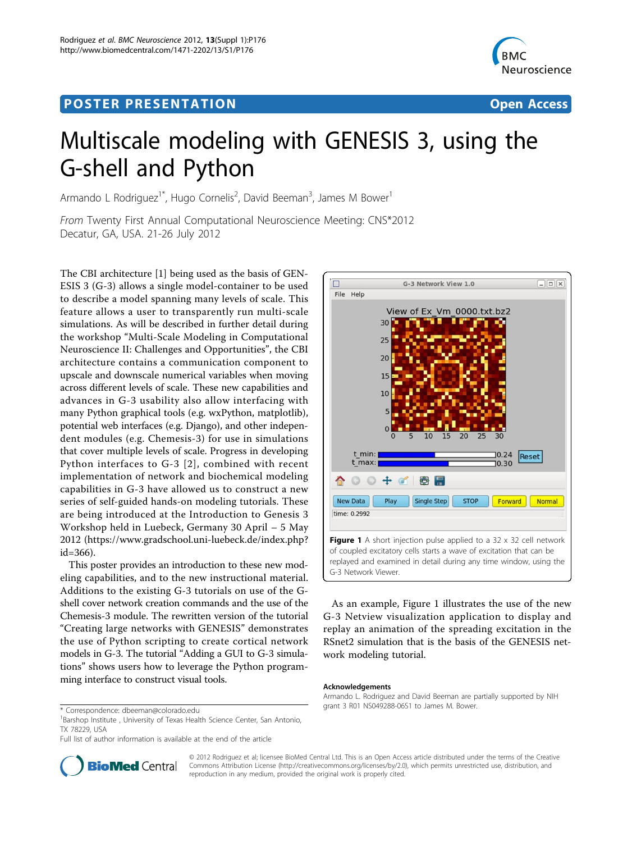## Post Experimental Police in the St English Police in the St English Police in the St English Police in the St<br>Police in the St English Police in the St English Police in the St English Police in the St English Police in



# Multiscale modeling with GENESIS 3, using the G-shell and Python

Armando L Rodriguez<sup>1\*</sup>, Hugo Cornelis<sup>2</sup>, David Beeman<sup>3</sup>, James M Bower<sup>1</sup>

From Twenty First Annual Computational Neuroscience Meeting: CNS\*2012 Decatur, GA, USA. 21-26 July 2012

The CBI architecture [\[1](#page-1-0)] being used as the basis of GEN-ESIS 3 (G-3) allows a single model-container to be used to describe a model spanning many levels of scale. This feature allows a user to transparently run multi-scale simulations. As will be described in further detail during the workshop "Multi-Scale Modeling in Computational Neuroscience II: Challenges and Opportunities", the CBI architecture contains a communication component to upscale and downscale numerical variables when moving across different levels of scale. These new capabilities and advances in G-3 usability also allow interfacing with many Python graphical tools (e.g. wxPython, matplotlib), potential web interfaces (e.g. Django), and other independent modules (e.g. Chemesis-3) for use in simulations that cover multiple levels of scale. Progress in developing Python interfaces to G-3 [[2\]](#page-1-0), combined with recent implementation of network and biochemical modeling capabilities in G-3 have allowed us to construct a new series of self-guided hands-on modeling tutorials. These are being introduced at the Introduction to Genesis 3 Workshop held in Luebeck, Germany 30 April – 5 May 2012 [\(https://www.gradschool.uni-luebeck.de/index.php?](https://www.gradschool.uni-luebeck.de/index.php?id=366)  $id = 366$ ).

This poster provides an introduction to these new modeling capabilities, and to the new instructional material. Additions to the existing G-3 tutorials on use of the Gshell cover network creation commands and the use of the Chemesis-3 module. The rewritten version of the tutorial "Creating large networks with GENESIS" demonstrates the use of Python scripting to create cortical network models in G-3. The tutorial "Adding a GUI to G-3 simulations" shows users how to leverage the Python programming interface to construct visual tools.



As an example, Figure 1 illustrates the use of the new G-3 Netview visualization application to display and replay an animation of the spreading excitation in the RSnet2 simulation that is the basis of the GENESIS network modeling tutorial.

#### Acknowledgements

Armando L. Rodriguez and David Beeman are partially supported by NIH grant 3 R01 NS049288-06S1 to James M. Bower. \* Correspondence: [dbeeman@colorado.edu](mailto:dbeeman@colorado.edu)



© 2012 Rodriguez et al; licensee BioMed Central Ltd. This is an Open Access article distributed under the terms of the Creative Commons Attribution License [\(http://creativecommons.org/licenses/by/2.0](http://creativecommons.org/licenses/by/2.0)), which permits unrestricted use, distribution, and reproduction in any medium, provided the original work is properly cited.

<sup>&</sup>lt;sup>1</sup>Barshop Institute, University of Texas Health Science Center, San Antonio, TX 78229, USA

Full list of author information is available at the end of the article